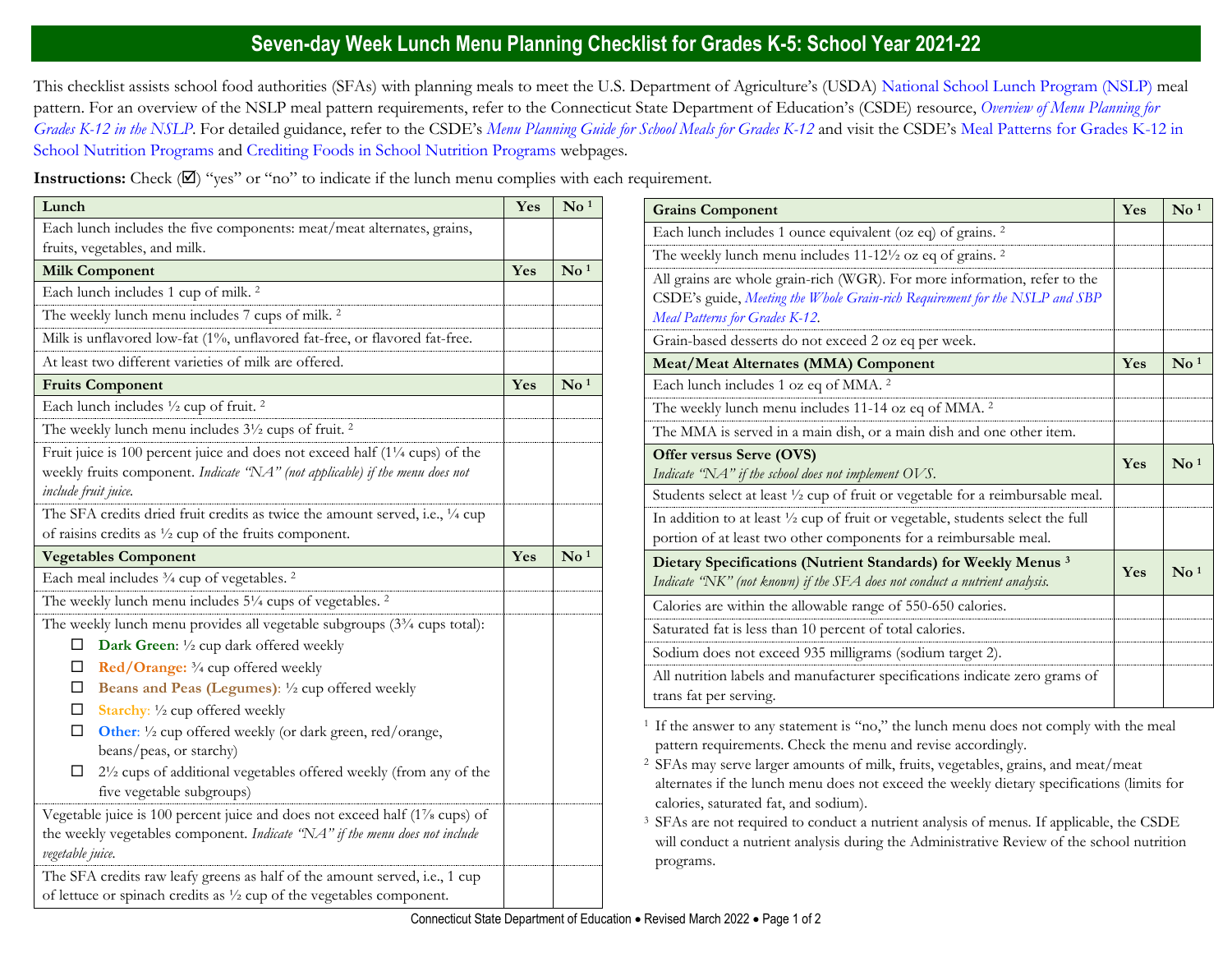## **Seven-day Week Lunch Menu Planning Checklist for Grades K-5: School Year 2021-22**

This checklist assists school food authorities (SFAs) with planning meals to meet the U.S. Department of Agriculture's (USDA) [National School Lunch Program \(NSLP\)](https://portal.ct.gov/SDE/Nutrition/National-School-Lunch-Program) meal pattern. For an overview of the NSLP meal pattern requirements, refer to the Connecticut State Department of Education's (CSDE) resource, *[Overview of Menu Planning for](https://portal.ct.gov/-/media/SDE/Nutrition/NSLP/MealPattern/Overview_Menu_Planning_NSLP_grades_K-12.pdf)  [Grades K-12 in the NSLP](https://portal.ct.gov/-/media/SDE/Nutrition/NSLP/MealPattern/Overview_Menu_Planning_NSLP_grades_K-12.pdf)*. For detailed guidance, refer to the CSDE's *[Menu Planning Guide for School Meals for Grades K-12](https://portal.ct.gov/SDE/Nutrition/Menu-Planning-Guide-for-School-Meals)* and visit the CSDE's [Meal Patterns for Grades K-12 in](https://portal.ct.gov/SDE/Nutrition/Meal-Patterns-School-Nutrition-Programs)  [School Nutrition Programs](https://portal.ct.gov/SDE/Nutrition/Meal-Patterns-School-Nutrition-Programs) and [Crediting Foods in School Nutrition Programs](https://portal.ct.gov/SDE/Nutrition/Crediting-Foods-in-School-Nutrition-Programs) webpages*.*

**Instructions:** Check  $(\mathbb{Z})$  "yes" or "no" to indicate if the lunch menu complies with each requirement.

| Lunch                                                                                                                                                                                          | Yes | $\mathbf{N}\mathbf{o}$ <sup>1</sup> |
|------------------------------------------------------------------------------------------------------------------------------------------------------------------------------------------------|-----|-------------------------------------|
| Each lunch includes the five components: meat/meat alternates, grains,                                                                                                                         |     |                                     |
| fruits, vegetables, and milk.                                                                                                                                                                  |     |                                     |
| <b>Milk Component</b>                                                                                                                                                                          | Yes | $\mathbf{N}\mathbf{o}$ <sup>1</sup> |
| Each lunch includes 1 cup of milk. <sup>2</sup>                                                                                                                                                |     |                                     |
| The weekly lunch menu includes 7 cups of milk. <sup>2</sup>                                                                                                                                    |     |                                     |
| Milk is unflavored low-fat (1%, unflavored fat-free, or flavored fat-free.                                                                                                                     |     |                                     |
| At least two different varieties of milk are offered.                                                                                                                                          |     |                                     |
| <b>Fruits Component</b>                                                                                                                                                                        | Yes | $\mathrm{No}$ <sup>1</sup>          |
| Each lunch includes 1/2 cup of fruit. <sup>2</sup>                                                                                                                                             |     |                                     |
| The weekly lunch menu includes 3 <sup>1/2</sup> cups of fruit. <sup>2</sup>                                                                                                                    |     |                                     |
| Fruit juice is 100 percent juice and does not exceed half $(1\frac{1}{4}$ cups) of the<br>weekly fruits component. Indicate "NA" (not applicable) if the menu does not<br>include fruit juice. |     |                                     |
| The SFA credits dried fruit credits as twice the amount served, i.e., 1/4 cup                                                                                                                  |     |                                     |
| of raisins credits as $\frac{1}{2}$ cup of the fruits component.                                                                                                                               |     |                                     |
| <b>Vegetables Component</b>                                                                                                                                                                    | Yes | $\overline{\text{No}}$ <sup>1</sup> |
| Each meal includes 3/4 cup of vegetables. <sup>2</sup>                                                                                                                                         |     |                                     |
| The weekly lunch menu includes 51/4 cups of vegetables. <sup>2</sup>                                                                                                                           |     |                                     |
| The weekly lunch menu provides all vegetable subgroups (3 <sup>3</sup> /4 cups total):                                                                                                         |     |                                     |
| Dark Green: 1/2 cup dark offered weekly<br>ப                                                                                                                                                   |     |                                     |
| Red/Orange: 3/4 cup offered weekly<br>□                                                                                                                                                        |     |                                     |
| Beans and Peas (Legumes): 1/2 cup offered weekly<br>⊔                                                                                                                                          |     |                                     |
| Starchy: 1/2 cup offered weekly<br>□                                                                                                                                                           |     |                                     |
| □<br>Other: 1/2 cup offered weekly (or dark green, red/orange,<br>beans/peas, or starchy)                                                                                                      |     |                                     |
| 21/2 cups of additional vegetables offered weekly (from any of the<br>□<br>five vegetable subgroups)                                                                                           |     |                                     |
| Vegetable juice is 100 percent juice and does not exceed half (1% cups) of                                                                                                                     |     |                                     |
| the weekly vegetables component. Indicate "NA" if the menu does not include<br>vegetable juice.                                                                                                |     |                                     |
| The SFA credits raw leafy greens as half of the amount served, i.e., 1 cup                                                                                                                     |     |                                     |

| <b>Grains Component</b>                                                                                                                                                                    | Yes | $\mathbf{N}\mathbf{o}$ <sup>1</sup> |
|--------------------------------------------------------------------------------------------------------------------------------------------------------------------------------------------|-----|-------------------------------------|
| Each lunch includes 1 ounce equivalent (oz eq) of grains. <sup>2</sup>                                                                                                                     |     |                                     |
| The weekly lunch menu includes $11-12\frac{1}{2}$ oz eq of grains. <sup>2</sup>                                                                                                            |     |                                     |
| All grains are whole grain-rich (WGR). For more information, refer to the<br>CSDE's guide, Meeting the Whole Grain-rich Requirement for the NSLP and SBP<br>Meal Patterns for Grades K-12. |     |                                     |
| Grain-based desserts do not exceed 2 oz eq per week.                                                                                                                                       |     |                                     |
| <b>Meat/Meat Alternates (MMA) Component</b>                                                                                                                                                | Yes | $\mathrm{No}$ <sup>1</sup>          |
| Each lunch includes 1 oz eq of MMA. <sup>2</sup>                                                                                                                                           |     |                                     |
| The weekly lunch menu includes 11-14 oz eq of MMA. <sup>2</sup>                                                                                                                            |     |                                     |
| The MMA is served in a main dish, or a main dish and one other item.                                                                                                                       |     |                                     |
| Offer versus Serve (OVS)<br>Indicate "NA" if the school does not implement OVS.                                                                                                            | Yes | $\mathrm{No}^{1}$                   |
| Students select at least 1/2 cup of fruit or vegetable for a reimbursable meal.                                                                                                            |     |                                     |
| In addition to at least 1/2 cup of fruit or vegetable, students select the full<br>portion of at least two other components for a reimbursable meal.                                       |     |                                     |
| Dietary Specifications (Nutrient Standards) for Weekly Menus <sup>3</sup><br>Indicate "NK" (not known) if the SFA does not conduct a nutrient analysis.                                    | Yes | $\mathbf{N}\mathbf{o}$ <sup>1</sup> |
| Calories are within the allowable range of 550-650 calories.                                                                                                                               |     |                                     |
| Saturated fat is less than 10 percent of total calories.                                                                                                                                   |     |                                     |
| Sodium does not exceed 935 milligrams (sodium target 2).                                                                                                                                   |     |                                     |
| All nutrition labels and manufacturer specifications indicate zero grams of<br>trans fat per serving.                                                                                      |     |                                     |

<sup>1</sup> If the answer to any statement is "no," the lunch menu does not comply with the meal pattern requirements. Check the menu and revise accordingly.

<sup>2</sup>SFAs may serve larger amounts of milk, fruits, vegetables, grains, and meat/meat alternates if the lunch menu does not exceed the weekly dietary specifications (limits for calories, saturated fat, and sodium).

<sup>3</sup> SFAs are not required to conduct a nutrient analysis of menus. If applicable, the CSDE will conduct a nutrient analysis during the Administrative Review of the school nutrition programs.